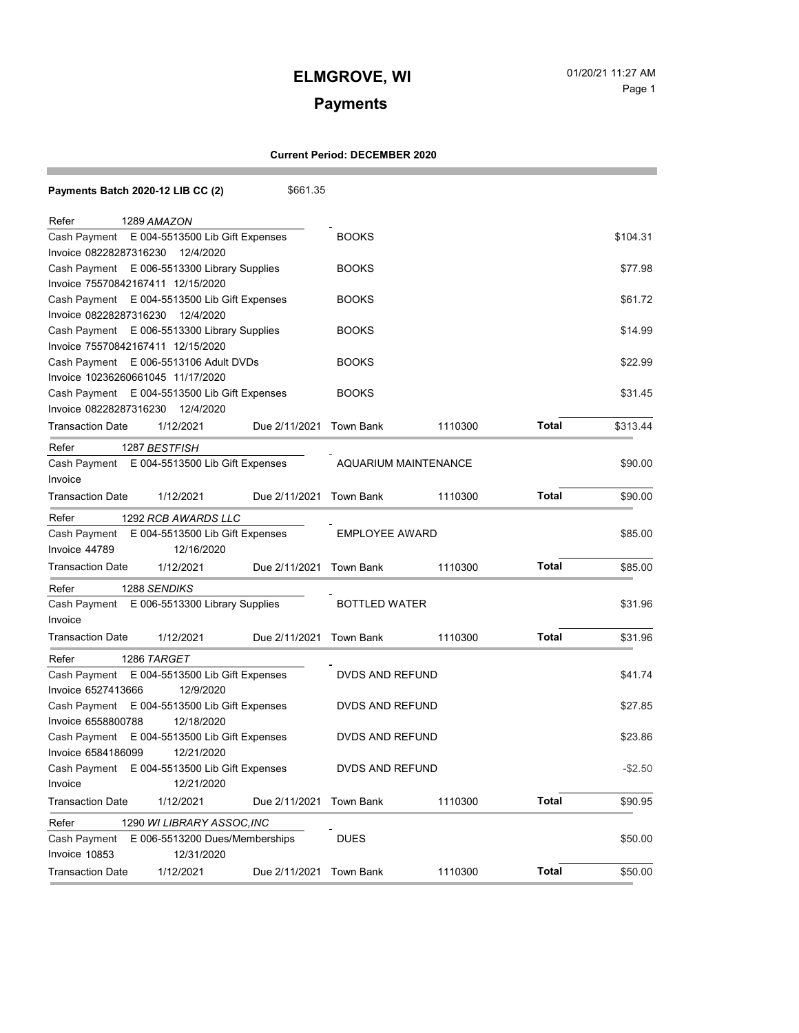## **ELMGROVE, WI** 01/20/21 11:27 AM

# Page 1

## **Payments**

### **Current Period: DECEMBER 2020**

|                                                 | Payments Batch 2020-12 LIB CC (2)            | \$661.35                |                             |         |              |            |
|-------------------------------------------------|----------------------------------------------|-------------------------|-----------------------------|---------|--------------|------------|
| Refer                                           | 1289 AMAZON                                  |                         |                             |         |              |            |
| Cash Payment                                    | E 004-5513500 Lib Gift Expenses              |                         |                             |         |              | \$104.31   |
| Invoice 08228287316230                          | 12/4/2020                                    |                         |                             |         |              |            |
|                                                 | Cash Payment E 006-5513300 Library Supplies  |                         | <b>BOOKS</b>                |         |              | \$77.98    |
|                                                 | Invoice 75570842167411 12/15/2020            |                         |                             |         |              |            |
| Cash Payment E 004-5513500 Lib Gift Expenses    |                                              |                         | <b>BOOKS</b>                |         |              | \$61.72    |
| Invoice 08228287316230<br>12/4/2020             |                                              |                         |                             |         |              |            |
| Cash Payment E 006-5513300 Library Supplies     |                                              |                         | <b>BOOKS</b>                |         |              | \$14.99    |
| Invoice 75570842167411 12/15/2020               |                                              |                         |                             |         |              |            |
|                                                 | Cash Payment E 006-5513106 Adult DVDs        |                         | <b>BOOKS</b>                |         |              | \$22.99    |
|                                                 | Invoice 10236260661045 11/17/2020            |                         |                             |         |              |            |
|                                                 | Cash Payment E 004-5513500 Lib Gift Expenses |                         | <b>BOOKS</b>                |         |              | \$31.45    |
|                                                 | Invoice 08228287316230 12/4/2020             |                         |                             |         |              |            |
| <b>Transaction Date</b>                         | 1/12/2021                                    | Due 2/11/2021 Town Bank |                             | 1110300 | Total        | \$313.44   |
| Refer                                           | 1287 BESTFISH                                |                         |                             |         |              |            |
| Cash Payment                                    | E 004-5513500 Lib Gift Expenses              |                         | <b>AQUARIUM MAINTENANCE</b> |         |              | \$90.00    |
| Invoice                                         |                                              |                         |                             |         |              |            |
| <b>Transaction Date</b>                         | 1/12/2021                                    | Due 2/11/2021           | Town Bank                   | 1110300 | Total        | \$90.00    |
| Refer                                           | 1292 RCB AWARDS LLC                          |                         |                             |         |              |            |
| Cash Payment                                    | E 004-5513500 Lib Gift Expenses              |                         | <b>EMPLOYEE AWARD</b>       |         |              | \$85.00    |
| Invoice 44789                                   | 12/16/2020                                   |                         |                             |         |              |            |
| <b>Transaction Date</b>                         | 1/12/2021                                    | Due 2/11/2021 Town Bank |                             | 1110300 | <b>Total</b> | \$85.00    |
| Refer                                           | 1288 SENDIKS                                 |                         |                             |         |              |            |
| E 006-5513300 Library Supplies<br>Cash Payment  |                                              |                         | <b>BOTTLED WATER</b>        |         |              | \$31.96    |
| Invoice                                         |                                              |                         |                             |         |              |            |
| <b>Transaction Date</b>                         | 1/12/2021                                    | Due 2/11/2021 Town Bank |                             | 1110300 | Total        | \$31.96    |
| Refer                                           | 1286 TARGET                                  |                         |                             |         |              |            |
| E 004-5513500 Lib Gift Expenses<br>Cash Payment |                                              |                         | DVDS AND REFUND             |         |              | \$41.74    |
| Invoice 6527413666                              | 12/9/2020                                    |                         |                             |         |              |            |
| E 004-5513500 Lib Gift Expenses<br>Cash Payment |                                              |                         | DVDS AND REFUND             |         |              | \$27.85    |
| Invoice 6558800788                              | 12/18/2020                                   |                         |                             |         |              |            |
| Cash Payment                                    | E 004-5513500 Lib Gift Expenses              |                         | DVDS AND REFUND             |         |              | \$23.86    |
| Invoice 6584186099                              | 12/21/2020                                   |                         |                             |         |              |            |
|                                                 | Cash Payment E 004-5513500 Lib Gift Expenses |                         | DVDS AND REFUND             |         |              | $-$ \$2.50 |
| Invoice                                         | 12/21/2020                                   |                         |                             |         |              |            |
| <b>Transaction Date</b>                         | 1/12/2021                                    | Due 2/11/2021           | Town Bank                   | 1110300 | <b>Total</b> | \$90.95    |
| Refer                                           | 1290 WI LIBRARY ASSOC, INC                   |                         |                             |         |              |            |
| Cash Payment                                    | E 006-5513200 Dues/Memberships               |                         | <b>DUES</b>                 |         |              | \$50.00    |
| Invoice 10853                                   | 12/31/2020                                   |                         |                             |         |              |            |
| <b>Transaction Date</b>                         | 1/12/2021                                    | Due 2/11/2021           | <b>Town Bank</b>            | 1110300 | <b>Total</b> | \$50.00    |